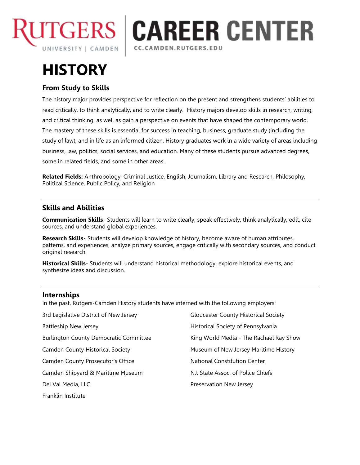

## **CAREER CENTER** CC.CAMDEN.RUTGERS.EDU

# **HISTORY**

## **From Study to Skills**

The history major provides perspective for reflection on the present and strengthens students' abilities to read critically, to think analytically, and to write clearly. History majors develop skills in research, writing, and critical thinking, as well as gain a perspective on events that have shaped the contemporary world. The mastery of these skills is essential for success in teaching, business, graduate study (including the study of law), and in life as an informed citizen. History graduates work in a wide variety of areas including business, law, politics, social services, and education. Many of these students pursue advanced degrees, some in related fields, and some in other areas.

**Related Fields:** Anthropology, Criminal Justice, English, Journalism, Library and Research, Philosophy, Political Science, Public Policy, and Religion

## **Skills and Abilities**

**Communication Skills**- Students will learn to write clearly, speak effectively, think analytically, edit, cite sources, and understand global experiences.

**Research Skills-** Students will develop knowledge of history, become aware of human attributes, patterns, and experiences, analyze primary sources, engage critically with secondary sources, and conduct original research.

**Historical Skills**- Students will understand historical methodology, explore historical events, and synthesize ideas and discussion.

## **Internships**

In the past, Rutgers-Camden History students have interned with the following employers:

| 3rd Legislative District of New Jersey        | <b>Gloucester County Historical Society</b> |
|-----------------------------------------------|---------------------------------------------|
| <b>Battleship New Jersey</b>                  | Historical Society of Pennsylvania          |
| <b>Burlington County Democratic Committee</b> | King World Media - The Rachael Ray Show     |
| <b>Camden County Historical Society</b>       | Museum of New Jersey Maritime History       |
| <b>Camden County Prosecutor's Office</b>      | <b>National Constitution Center</b>         |
| Camden Shipyard & Maritime Museum             | NJ. State Assoc. of Police Chiefs           |
| Del Val Media, LLC                            | Preservation New Jersey                     |
| Franklin Institute                            |                                             |